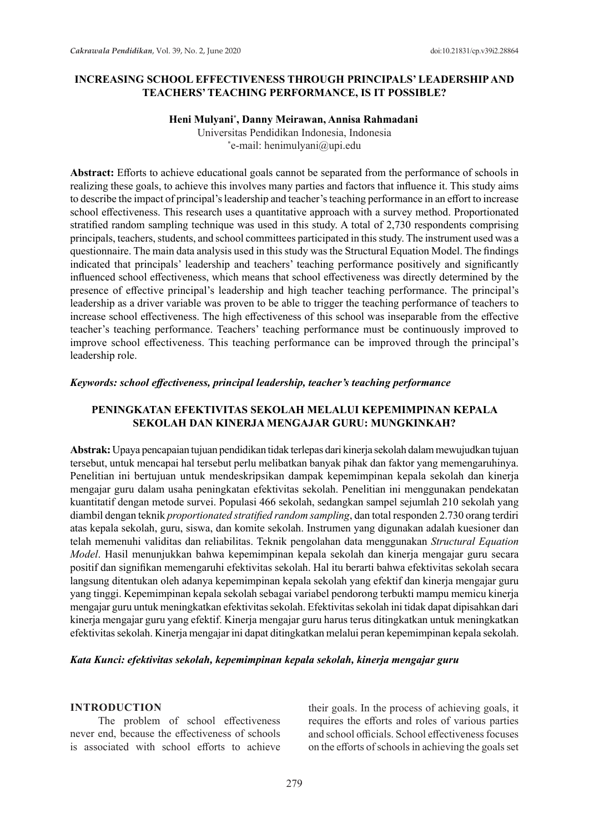### **INCREASING SCHOOL EFFECTIVENESS THROUGH PRINCIPALS' LEADERSHIP AND TEACHERS' TEACHING PERFORMANCE, IS IT POSSIBLE?**

### **Heni Mulyani\* , Danny Meirawan, Annisa Rahmadani**

Universitas Pendidikan Indonesia, Indonesia \* e-mail: henimulyani@upi.edu

**Abstract:** Efforts to achieve educational goals cannot be separated from the performance of schools in realizing these goals, to achieve this involves many parties and factors that influence it. This study aims to describe the impact of principal's leadership and teacher's teaching performance in an effort to increase school effectiveness. This research uses a quantitative approach with a survey method. Proportionated stratified random sampling technique was used in this study. A total of 2,730 respondents comprising principals, teachers, students, and school committees participated in this study. The instrument used was a questionnaire. The main data analysis used in this study was the Structural Equation Model. The findings indicated that principals' leadership and teachers' teaching performance positively and significantly influenced school effectiveness, which means that school effectiveness was directly determined by the presence of effective principal's leadership and high teacher teaching performance. The principal's leadership as a driver variable was proven to be able to trigger the teaching performance of teachers to increase school effectiveness. The high effectiveness of this school was inseparable from the effective teacher's teaching performance. Teachers' teaching performance must be continuously improved to improve school effectiveness. This teaching performance can be improved through the principal's leadership role.

#### *Keywords: school effectiveness, principal leadership, teacher's teaching performance*

# **PENINGKATAN EFEKTIVITAS SEKOLAH MELALUI KEPEMIMPINAN KEPALA SEKOLAH DAN KINERJA MENGAJAR GURU: MUNGKINKAH?**

**Abstrak:** Upaya pencapaian tujuan pendidikan tidak terlepas dari kinerja sekolah dalam mewujudkan tujuan tersebut, untuk mencapai hal tersebut perlu melibatkan banyak pihak dan faktor yang memengaruhinya. Penelitian ini bertujuan untuk mendeskripsikan dampak kepemimpinan kepala sekolah dan kinerja mengajar guru dalam usaha peningkatan efektivitas sekolah. Penelitian ini menggunakan pendekatan kuantitatif dengan metode survei. Populasi 466 sekolah, sedangkan sampel sejumlah 210 sekolah yang diambil dengan teknik *proportionated stratified random sampling*, dan total responden 2.730 orang terdiri atas kepala sekolah, guru, siswa, dan komite sekolah. Instrumen yang digunakan adalah kuesioner dan telah memenuhi validitas dan reliabilitas. Teknik pengolahan data menggunakan *Structural Equation Model*. Hasil menunjukkan bahwa kepemimpinan kepala sekolah dan kinerja mengajar guru secara positif dan signifikan memengaruhi efektivitas sekolah. Hal itu berarti bahwa efektivitas sekolah secara langsung ditentukan oleh adanya kepemimpinan kepala sekolah yang efektif dan kinerja mengajar guru yang tinggi. Kepemimpinan kepala sekolah sebagai variabel pendorong terbukti mampu memicu kinerja mengajar guru untuk meningkatkan efektivitas sekolah. Efektivitas sekolah ini tidak dapat dipisahkan dari kinerja mengajar guru yang efektif. Kinerja mengajar guru harus terus ditingkatkan untuk meningkatkan efektivitas sekolah. Kinerja mengajar ini dapat ditingkatkan melalui peran kepemimpinan kepala sekolah.

#### *Kata Kunci: efektivitas sekolah, kepemimpinan kepala sekolah, kinerja mengajar guru*

#### **INTRODUCTION**

The problem of school effectiveness never end, because the effectiveness of schools is associated with school efforts to achieve their goals. In the process of achieving goals, it requires the efforts and roles of various parties and school officials. School effectiveness focuses on the efforts of schools in achieving the goals set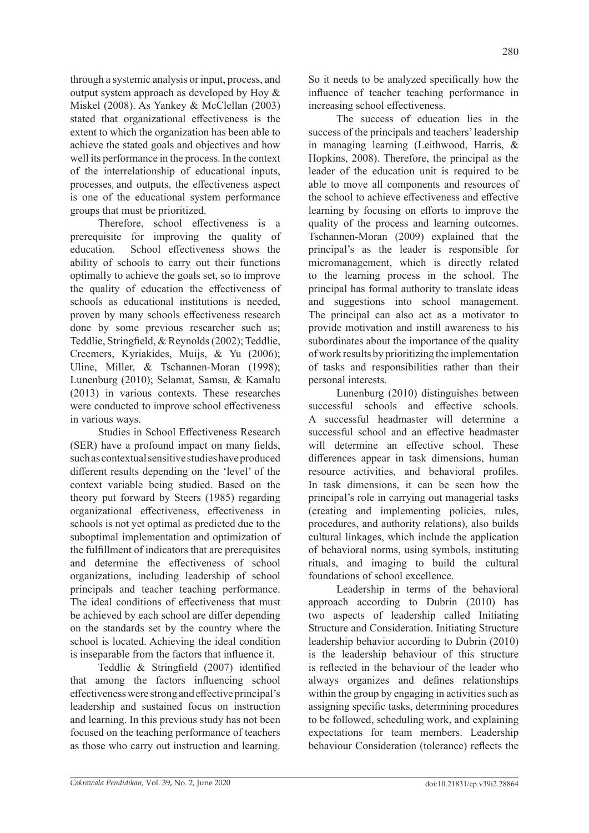through a systemic analysis or input, process, and output system approach as developed by Hoy & Miskel (2008). As Yankey & McClellan (2003) stated that organizational effectiveness is the extent to which the organization has been able to achieve the stated goals and objectives and how well its performance in the process. In the context of the interrelationship of educational inputs, processes, and outputs, the effectiveness aspect is one of the educational system performance groups that must be prioritized.

Therefore, school effectiveness is a prerequisite for improving the quality of education. School effectiveness shows the ability of schools to carry out their functions optimally to achieve the goals set, so to improve the quality of education the effectiveness of schools as educational institutions is needed, proven by many schools effectiveness research done by some previous researcher such as; Teddlie, Stringfield, & Reynolds (2002); Teddlie, Creemers, Kyriakides, Muijs, & Yu (2006); Uline, Miller, & Tschannen-Moran (1998); Lunenburg (2010); Selamat, Samsu, & Kamalu (2013) in various contexts. These researches were conducted to improve school effectiveness in various ways.

Studies in School Effectiveness Research (SER) have a profound impact on many fields, such as contextual sensitive studies have produced different results depending on the 'level' of the context variable being studied. Based on the theory put forward by Steers (1985) regarding organizational effectiveness, effectiveness in schools is not yet optimal as predicted due to the suboptimal implementation and optimization of the fulfillment of indicators that are prerequisites and determine the effectiveness of school organizations, including leadership of school principals and teacher teaching performance. The ideal conditions of effectiveness that must be achieved by each school are differ depending on the standards set by the country where the school is located. Achieving the ideal condition is inseparable from the factors that influence it.

Teddlie & Stringfield (2007) identified that among the factors influencing school effectiveness were strong and effective principal's leadership and sustained focus on instruction and learning. In this previous study has not been focused on the teaching performance of teachers as those who carry out instruction and learning.

So it needs to be analyzed specifically how the influence of teacher teaching performance in increasing school effectiveness.

The success of education lies in the success of the principals and teachers' leadership in managing learning (Leithwood, Harris, & Hopkins, 2008). Therefore, the principal as the leader of the education unit is required to be able to move all components and resources of the school to achieve effectiveness and effective learning by focusing on efforts to improve the quality of the process and learning outcomes. Tschannen-Moran (2009) explained that the principal's as the leader is responsible for micromanagement, which is directly related to the learning process in the school. The principal has formal authority to translate ideas and suggestions into school management. The principal can also act as a motivator to provide motivation and instill awareness to his subordinates about the importance of the quality of work results by prioritizing the implementation of tasks and responsibilities rather than their personal interests.

Lunenburg (2010) distinguishes between successful schools and effective schools. A successful headmaster will determine a successful school and an effective headmaster will determine an effective school. These differences appear in task dimensions, human resource activities, and behavioral profiles. In task dimensions, it can be seen how the principal's role in carrying out managerial tasks (creating and implementing policies, rules, procedures, and authority relations), also builds cultural linkages, which include the application of behavioral norms, using symbols, instituting rituals, and imaging to build the cultural foundations of school excellence.

Leadership in terms of the behavioral approach according to Dubrin (2010) has two aspects of leadership called Initiating Structure and Consideration. Initiating Structure leadership behavior according to Dubrin (2010) is the leadership behaviour of this structure is reflected in the behaviour of the leader who always organizes and defines relationships within the group by engaging in activities such as assigning specific tasks, determining procedures to be followed, scheduling work, and explaining expectations for team members. Leadership behaviour Consideration (tolerance) reflects the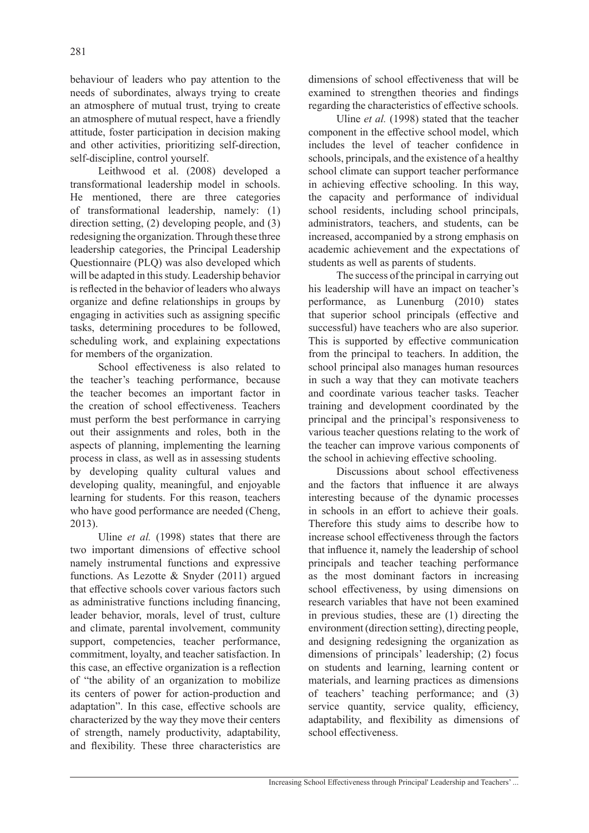behaviour of leaders who pay attention to the needs of subordinates, always trying to create an atmosphere of mutual trust, trying to create an atmosphere of mutual respect, have a friendly attitude, foster participation in decision making and other activities, prioritizing self-direction, self-discipline, control yourself.

Leithwood et al. (2008) developed a transformational leadership model in schools. He mentioned, there are three categories of transformational leadership, namely: (1) direction setting, (2) developing people, and (3) redesigning the organization. Through these three leadership categories, the Principal Leadership Questionnaire (PLQ) was also developed which will be adapted in this study. Leadership behavior is reflected in the behavior of leaders who always organize and define relationships in groups by engaging in activities such as assigning specific tasks, determining procedures to be followed, scheduling work, and explaining expectations for members of the organization.

School effectiveness is also related to the teacher's teaching performance, because the teacher becomes an important factor in the creation of school effectiveness. Teachers must perform the best performance in carrying out their assignments and roles, both in the aspects of planning, implementing the learning process in class, as well as in assessing students by developing quality cultural values and developing quality, meaningful, and enjoyable learning for students. For this reason, teachers who have good performance are needed (Cheng, 2013).

Uline *et al.* (1998) states that there are two important dimensions of effective school namely instrumental functions and expressive functions. As Lezotte & Snyder (2011) argued that effective schools cover various factors such as administrative functions including financing, leader behavior, morals, level of trust, culture and climate, parental involvement, community support, competencies, teacher performance, commitment, loyalty, and teacher satisfaction. In this case, an effective organization is a reflection of "the ability of an organization to mobilize its centers of power for action-production and adaptation". In this case, effective schools are characterized by the way they move their centers of strength, namely productivity, adaptability, and flexibility. These three characteristics are

dimensions of school effectiveness that will be examined to strengthen theories and findings regarding the characteristics of effective schools.

Uline *et al.* (1998) stated that the teacher component in the effective school model, which includes the level of teacher confidence in schools, principals, and the existence of a healthy school climate can support teacher performance in achieving effective schooling. In this way, the capacity and performance of individual school residents, including school principals, administrators, teachers, and students, can be increased, accompanied by a strong emphasis on academic achievement and the expectations of students as well as parents of students.

The success of the principal in carrying out his leadership will have an impact on teacher's performance, as Lunenburg (2010) states that superior school principals (effective and successful) have teachers who are also superior. This is supported by effective communication from the principal to teachers. In addition, the school principal also manages human resources in such a way that they can motivate teachers and coordinate various teacher tasks. Teacher training and development coordinated by the principal and the principal's responsiveness to various teacher questions relating to the work of the teacher can improve various components of the school in achieving effective schooling.

Discussions about school effectiveness and the factors that influence it are always interesting because of the dynamic processes in schools in an effort to achieve their goals. Therefore this study aims to describe how to increase school effectiveness through the factors that influence it, namely the leadership of school principals and teacher teaching performance as the most dominant factors in increasing school effectiveness, by using dimensions on research variables that have not been examined in previous studies, these are (1) directing the environment (direction setting), directing people, and designing redesigning the organization as dimensions of principals' leadership; (2) focus on students and learning, learning content or materials, and learning practices as dimensions of teachers' teaching performance; and (3) service quantity, service quality, efficiency, adaptability, and flexibility as dimensions of school effectiveness.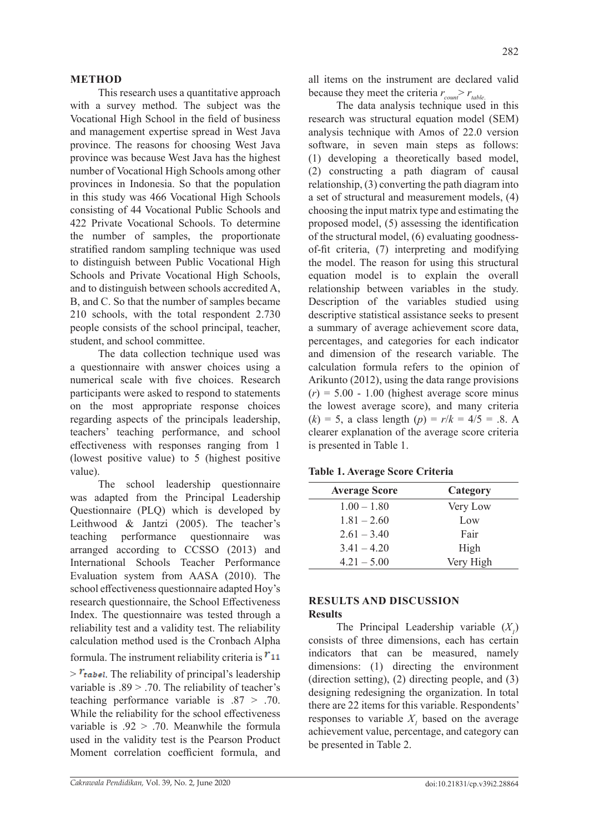# **METHOD**

This research uses a quantitative approach with a survey method. The subject was the Vocational High School in the field of business and management expertise spread in West Java province. The reasons for choosing West Java province was because West Java has the highest number of Vocational High Schools among other provinces in Indonesia. So that the population in this study was 466 Vocational High Schools consisting of 44 Vocational Public Schools and 422 Private Vocational Schools. To determine the number of samples, the proportionate stratified random sampling technique was used to distinguish between Public Vocational High Schools and Private Vocational High Schools, and to distinguish between schools accredited A, B, and C. So that the number of samples became 210 schools, with the total respondent 2.730 people consists of the school principal, teacher, student, and school committee.

The data collection technique used was a questionnaire with answer choices using a numerical scale with five choices. Research participants were asked to respond to statements on the most appropriate response choices regarding aspects of the principals leadership, teachers' teaching performance, and school effectiveness with responses ranging from 1 (lowest positive value) to 5 (highest positive value).

The school leadership questionnaire was adapted from the Principal Leadership Questionnaire (PLQ) which is developed by Leithwood & Jantzi (2005). The teacher's teaching performance questionnaire was arranged according to CCSSO (2013) and International Schools Teacher Performance Evaluation system from AASA (2010). The school effectiveness questionnaire adapted Hoy's research questionnaire, the School Effectiveness Index. The questionnaire was tested through a reliability test and a validity test. The reliability calculation method used is the Cronbach Alpha

formula. The instrument reliability criteria is  $r_{11}$ 

 $\frac{\partial F_{\text{table}}}{\partial \phi}$ . The reliability of principal's leadership variable is  $.89$  > .70. The reliability of teacher's teaching performance variable is .87 > .70. While the reliability for the school effectiveness variable is  $.92 > .70$ . Meanwhile the formula used in the validity test is the Pearson Product Moment correlation coefficient formula, and all items on the instrument are declared valid because they meet the criteria  $r_{\text{count}}$   $\ge r_{\text{table}}$ .

The data analysis technique used in this research was structural equation model (SEM) analysis technique with Amos of 22.0 version software, in seven main steps as follows: (1) developing a theoretically based model, (2) constructing a path diagram of causal relationship, (3) converting the path diagram into a set of structural and measurement models, (4) choosing the input matrix type and estimating the proposed model, (5) assessing the identification of the structural model, (6) evaluating goodnessof-fit criteria, (7) interpreting and modifying the model. The reason for using this structural equation model is to explain the overall relationship between variables in the study. Description of the variables studied using descriptive statistical assistance seeks to present a summary of average achievement score data, percentages, and categories for each indicator and dimension of the research variable. The calculation formula refers to the opinion of Arikunto (2012), using the data range provisions  $(r) = 5.00 - 1.00$  (highest average score minus the lowest average score), and many criteria  $(k) = 5$ , a class length  $(p) = r/k = 4/5 = .8$ . A clearer explanation of the average score criteria is presented in Table 1.

|  | Table 1. Average Score Criteria |  |  |
|--|---------------------------------|--|--|
|--|---------------------------------|--|--|

| <b>Average Score</b> | Category  |
|----------------------|-----------|
| $1.00 - 1.80$        | Very Low  |
| $1.81 - 2.60$        | Low       |
| $2.61 - 3.40$        | Fair      |
| $3.41 - 4.20$        | High      |
| $4.21 - 5.00$        | Very High |

# **RESULTS AND DISCUSSION Results**

The Principal Leadership variable  $(X_1)$ consists of three dimensions, each has certain indicators that can be measured, namely dimensions: (1) directing the environment (direction setting), (2) directing people, and (3) designing redesigning the organization. In total there are 22 items for this variable. Respondents' responses to variable  $X<sub>1</sub>$  based on the average achievement value, percentage, and category can be presented in Table 2.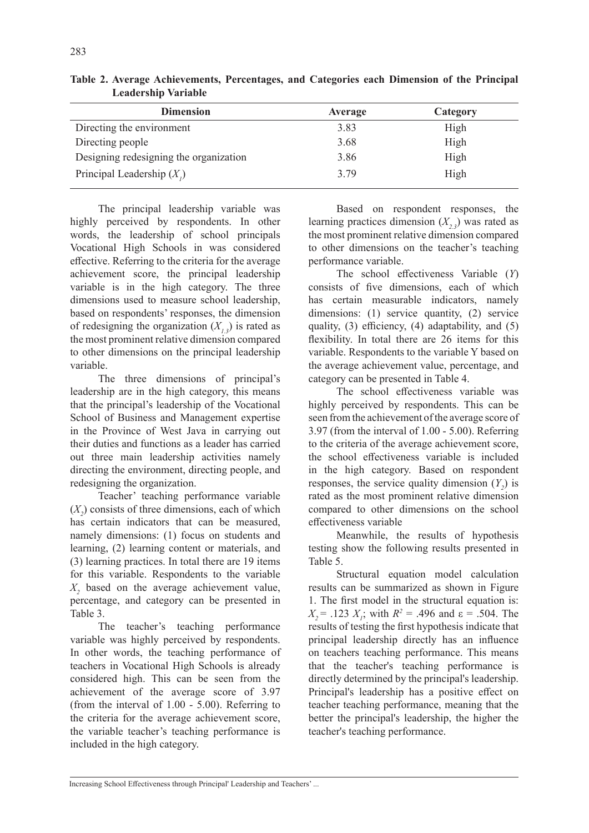| <b>Dimension</b>                       | Average | Category |
|----------------------------------------|---------|----------|
| Directing the environment              | 3.83    | High     |
| Directing people                       | 3.68    | High     |
| Designing redesigning the organization | 3.86    | High     |
| Principal Leadership $(X_i)$           | 3.79    | High     |

**Table 2. Average Achievements, Percentages, and Categories each Dimension of the Principal Leadership Variable**

The principal leadership variable was highly perceived by respondents. In other words, the leadership of school principals Vocational High Schools in was considered effective. Referring to the criteria for the average achievement score, the principal leadership variable is in the high category. The three dimensions used to measure school leadership, based on respondents' responses, the dimension of redesigning the organization  $(X_1, 3)$  is rated as the most prominent relative dimension compared to other dimensions on the principal leadership variable.

The three dimensions of principal's leadership are in the high category, this means that the principal's leadership of the Vocational School of Business and Management expertise in the Province of West Java in carrying out their duties and functions as a leader has carried out three main leadership activities namely directing the environment, directing people, and redesigning the organization.

Teacher' teaching performance variable  $(X_2)$  consists of three dimensions, each of which has certain indicators that can be measured, namely dimensions: (1) focus on students and learning, (2) learning content or materials, and (3) learning practices. In total there are 19 items for this variable. Respondents to the variable *X2* based on the average achievement value, percentage, and category can be presented in Table 3.

The teacher's teaching performance variable was highly perceived by respondents. In other words, the teaching performance of teachers in Vocational High Schools is already considered high. This can be seen from the achievement of the average score of 3.97 (from the interval of 1.00 - 5.00). Referring to the criteria for the average achievement score, the variable teacher's teaching performance is included in the high category.

Based on respondent responses, the learning practices dimension  $(X, z)$  was rated as the most prominent relative dimension compared to other dimensions on the teacher's teaching performance variable.

The school effectiveness Variable (*Y*) consists of five dimensions, each of which has certain measurable indicators, namely dimensions: (1) service quantity, (2) service quality, (3) efficiency, (4) adaptability, and (5) flexibility. In total there are 26 items for this variable. Respondents to the variable Y based on the average achievement value, percentage, and category can be presented in Table 4.

The school effectiveness variable was highly perceived by respondents. This can be seen from the achievement of the average score of 3.97 (from the interval of 1.00 - 5.00). Referring to the criteria of the average achievement score, the school effectiveness variable is included in the high category. Based on respondent responses, the service quality dimension  $(Y_2)$  is rated as the most prominent relative dimension compared to other dimensions on the school effectiveness variable

Meanwhile, the results of hypothesis testing show the following results presented in Table 5.

Structural equation model calculation results can be summarized as shown in Figure 1. The first model in the structural equation is:  $X_2$  = .123  $X_i$ ; with  $R^2$  = .496 and ε = .504. The results of testing the first hypothesis indicate that principal leadership directly has an influence on teachers teaching performance. This means that the teacher's teaching performance is directly determined by the principal's leadership. Principal's leadership has a positive effect on teacher teaching performance, meaning that the better the principal's leadership, the higher the teacher's teaching performance.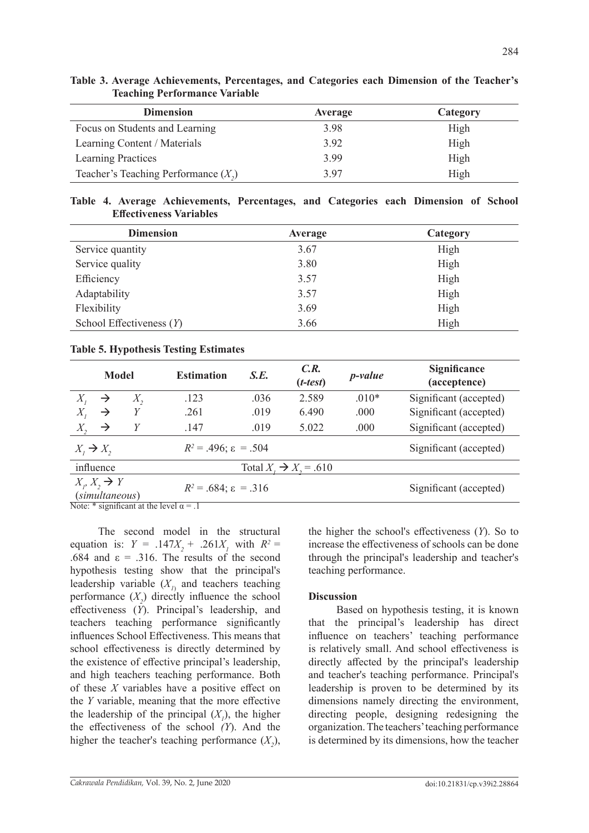| <b>Dimension</b>                       | <b>Average</b> | Category |
|----------------------------------------|----------------|----------|
| Focus on Students and Learning         | 3.98           | High     |
| Learning Content / Materials           | 3.92           | High     |
| Learning Practices                     | 3.99           | High     |
| Teacher's Teaching Performance $(X_2)$ | 3.97           | High     |

|  | Table 3. Average Achievements, Percentages, and Categories each Dimension of the Teacher's |  |  |  |  |  |
|--|--------------------------------------------------------------------------------------------|--|--|--|--|--|
|  | <b>Teaching Performance Variable</b>                                                       |  |  |  |  |  |

**Table 4. Average Achievements, Percentages, and Categories each Dimension of School Effectiveness Variables**

| <b>Dimension</b>           | <b>Average</b> | Category |
|----------------------------|----------------|----------|
| Service quantity           | 3.67           | High     |
| Service quality            | 3.80           | High     |
| Efficiency                 | 3.57           | High     |
| Adaptability               | 3.57           | High     |
| Flexibility                | 3.69           | High     |
| School Effectiveness $(Y)$ | 3.66           | High     |

# **Table 5. Hypothesis Testing Estimates**

| <b>Model</b>                                               |                                            |              | <b>Estimation</b>                   | S.E.                   | C.R.<br>$(t-test)$ | $p$ -value | <b>Significance</b><br>(acceptence) |
|------------------------------------------------------------|--------------------------------------------|--------------|-------------------------------------|------------------------|--------------------|------------|-------------------------------------|
| $X_{i}$                                                    | $\rightarrow$                              | $X_{\gamma}$ | .123                                | .036                   | 2.589              | $.010*$    | Significant (accepted)              |
| $X_{\iota}$                                                | $\rightarrow$                              |              | .261                                | .019                   | 6.490              | .000       | Significant (accepted)              |
| $X_{2}$                                                    | $\rightarrow$                              | Y            | .147                                | .019                   | 5.022              | .000       | Significant (accepted)              |
| $R^2 = .496$ ; $\varepsilon = .504$<br>$X_i \rightarrow X$ |                                            |              |                                     | Significant (accepted) |                    |            |                                     |
| influence<br>Total $X_i \rightarrow X_i = .610$            |                                            |              |                                     |                        |                    |            |                                     |
|                                                            | $X_i, X_j \rightarrow Y$<br>(simultaneous) |              | $R^2 = .684$ ; $\varepsilon = .316$ |                        |                    |            | Significant (accepted)              |

Note: \* significant at the level  $\alpha = .1$ 

The second model in the structural equation is:  $Y = .147X_2 + .261X_1$  with  $R^2 =$ .684 and  $\varepsilon = .316$ . The results of the second hypothesis testing show that the principal's leadership variable  $(X_{I})$  and teachers teaching performance  $(X_2)$  directly influence the school effectiveness (*Y*). Principal's leadership, and teachers teaching performance significantly influences School Effectiveness. This means that school effectiveness is directly determined by the existence of effective principal's leadership, and high teachers teaching performance. Both of these *X* variables have a positive effect on the *Y* variable, meaning that the more effective the leadership of the principal  $(X<sub>1</sub>)$ , the higher the effectiveness of the school *(Y*). And the higher the teacher's teaching performance  $(X_2)$ , the higher the school's effectiveness (*Y*). So to increase the effectiveness of schools can be done through the principal's leadership and teacher's teaching performance.

# **Discussion**

Based on hypothesis testing, it is known that the principal's leadership has direct influence on teachers' teaching performance is relatively small. And school effectiveness is directly affected by the principal's leadership and teacher's teaching performance. Principal's leadership is proven to be determined by its dimensions namely directing the environment, directing people, designing redesigning the organization. The teachers' teaching performance is determined by its dimensions, how the teacher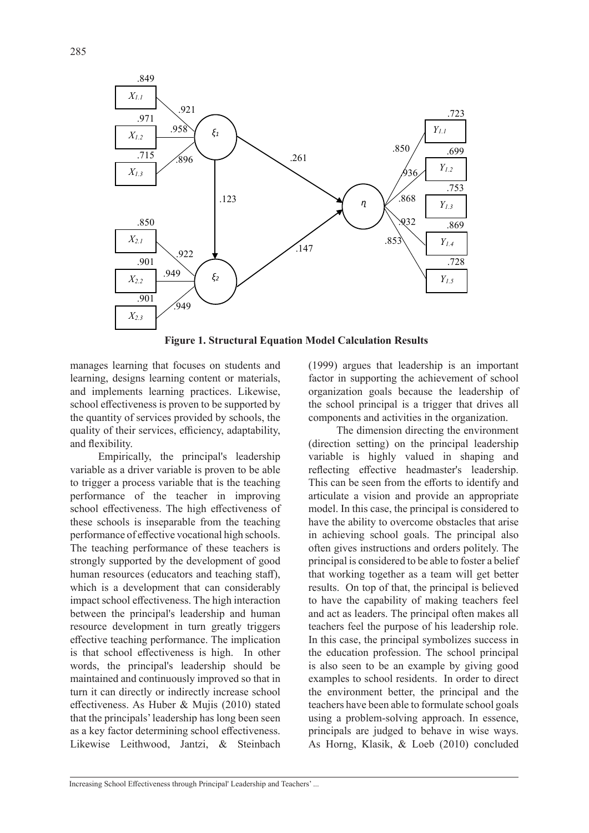

**Figure 1. Structural Equation Model Calculation Results**

manages learning that focuses on students and learning, designs learning content or materials, and implements learning practices. Likewise, school effectiveness is proven to be supported by the quantity of services provided by schools, the quality of their services, efficiency, adaptability, and flexibility.

Empirically, the principal's leadership variable as a driver variable is proven to be able to trigger a process variable that is the teaching performance of the teacher in improving school effectiveness. The high effectiveness of these schools is inseparable from the teaching performance of effective vocational high schools. The teaching performance of these teachers is strongly supported by the development of good human resources (educators and teaching staff), which is a development that can considerably impact school effectiveness. The high interaction between the principal's leadership and human resource development in turn greatly triggers effective teaching performance. The implication is that school effectiveness is high. In other words, the principal's leadership should be maintained and continuously improved so that in turn it can directly or indirectly increase school effectiveness. As Huber & Mujis (2010) stated that the principals' leadership has long been seen as a key factor determining school effectiveness. Likewise Leithwood, Jantzi, & Steinbach (1999) argues that leadership is an important factor in supporting the achievement of school organization goals because the leadership of the school principal is a trigger that drives all components and activities in the organization.

The dimension directing the environment (direction setting) on the principal leadership variable is highly valued in shaping and reflecting effective headmaster's leadership. This can be seen from the efforts to identify and articulate a vision and provide an appropriate model. In this case, the principal is considered to have the ability to overcome obstacles that arise in achieving school goals. The principal also often gives instructions and orders politely. The principal is considered to be able to foster a belief that working together as a team will get better results. On top of that, the principal is believed to have the capability of making teachers feel and act as leaders. The principal often makes all teachers feel the purpose of his leadership role. In this case, the principal symbolizes success in the education profession. The school principal is also seen to be an example by giving good examples to school residents. In order to direct the environment better, the principal and the teachers have been able to formulate school goals using a problem-solving approach. In essence, principals are judged to behave in wise ways. As Horng, Klasik, & Loeb (2010) concluded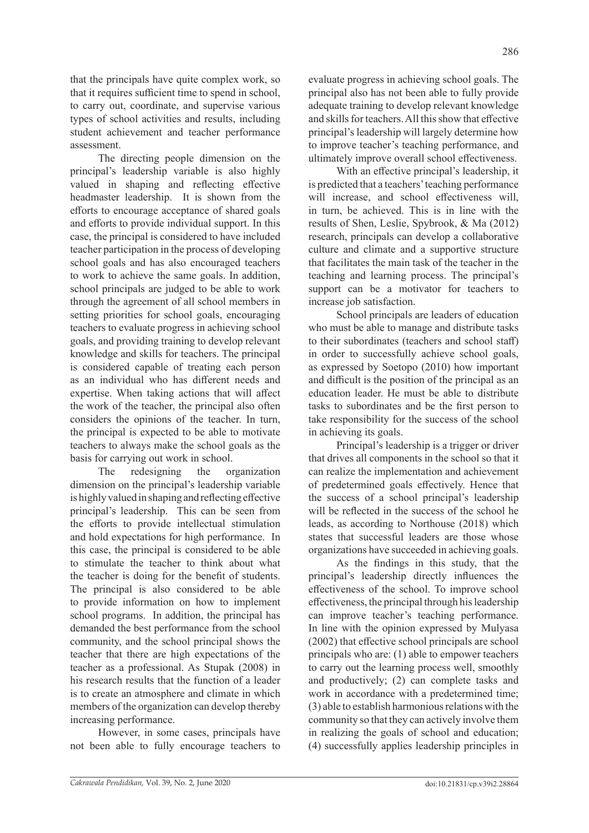that the principals have quite complex work, so that it requires sufficient time to spend in school, to carry out, coordinate, and supervise various types of school activities and results, including student achievement and teacher performance assessment.

The directing people dimension on the principal's leadership variable is also highly valued in shaping and reflecting effective headmaster leadership. It is shown from the efforts to encourage acceptance of shared goals and efforts to provide individual support. In this case, the principal is considered to have included teacher participation in the process of developing school goals and has also encouraged teachers to work to achieve the same goals. In addition, school principals are judged to be able to work through the agreement of all school members in setting priorities for school goals, encouraging teachers to evaluate progress in achieving school goals, and providing training to develop relevant knowledge and skills for teachers. The principal is considered capable of treating each person as an individual who has different needs and expertise. When taking actions that will affect the work of the teacher, the principal also often considers the opinions of the teacher. In turn, the principal is expected to be able to motivate teachers to always make the school goals as the basis for carrying out work in school.

The redesigning the organization dimension on the principal's leadership variable is highly valued in shaping and reflecting effective principal's leadership. This can be seen from the efforts to provide intellectual stimulation and hold expectations for high performance. In this case, the principal is considered to be able to stimulate the teacher to think about what the teacher is doing for the benefit of students. The principal is also considered to be able to provide information on how to implement school programs. In addition, the principal has demanded the best performance from the school community, and the school principal shows the teacher that there are high expectations of the teacher as a professional. As Stupak (2008) in his research results that the function of a leader is to create an atmosphere and climate in which members of the organization can develop thereby increasing performance.

However, in some cases, principals have not been able to fully encourage teachers to

evaluate progress in achieving school goals. The principal also has not been able to fully provide adequate training to develop relevant knowledge and skills for teachers. All this show that effective principal's leadership will largely determine how to improve teacher's teaching performance, and ultimately improve overall school effectiveness.

With an effective principal's leadership, it is predicted that a teachers' teaching performance will increase, and school effectiveness will, in turn, be achieved. This is in line with the results of Shen, Leslie, Spybrook, & Ma (2012) research, principals can develop a collaborative culture and climate and a supportive structure that facilitates the main task of the teacher in the teaching and learning process. The principal's support can be a motivator for teachers to increase job satisfaction.

School principals are leaders of education who must be able to manage and distribute tasks to their subordinates (teachers and school staff) in order to successfully achieve school goals, as expressed by Soetopo (2010) how important and difficult is the position of the principal as an education leader. He must be able to distribute tasks to subordinates and be the first person to take responsibility for the success of the school in achieving its goals.

Principal's leadership is a trigger or driver that drives all components in the school so that it can realize the implementation and achievement of predetermined goals effectively. Hence that the success of a school principal's leadership will be reflected in the success of the school he leads, as according to Northouse (2018) which states that successful leaders are those whose organizations have succeeded in achieving goals.

As the findings in this study, that the principal's leadership directly influences the effectiveness of the school. To improve school effectiveness, the principal through his leadership can improve teacher's teaching performance. In line with the opinion expressed by Mulyasa (2002) that effective school principals are school principals who are: (1) able to empower teachers to carry out the learning process well, smoothly and productively; (2) can complete tasks and work in accordance with a predetermined time; (3) able to establish harmonious relations with the community so that they can actively involve them in realizing the goals of school and education; (4) successfully applies leadership principles in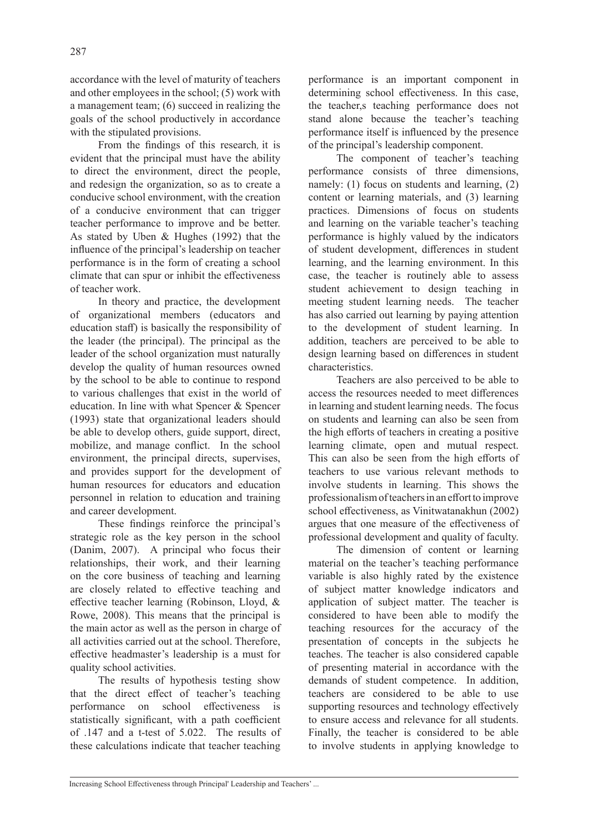accordance with the level of maturity of teachers and other employees in the school; (5) work with a management team; (6) succeed in realizing the goals of the school productively in accordance with the stipulated provisions.

From the findings of this research, it is evident that the principal must have the ability to direct the environment, direct the people, and redesign the organization, so as to create a conducive school environment, with the creation of a conducive environment that can trigger teacher performance to improve and be better. As stated by Uben & Hughes (1992) that the influence of the principal's leadership on teacher performance is in the form of creating a school climate that can spur or inhibit the effectiveness of teacher work.

In theory and practice, the development of organizational members (educators and education staff) is basically the responsibility of the leader (the principal). The principal as the leader of the school organization must naturally develop the quality of human resources owned by the school to be able to continue to respond to various challenges that exist in the world of education. In line with what Spencer & Spencer (1993) state that organizational leaders should be able to develop others, guide support, direct, mobilize, and manage conflict. In the school environment, the principal directs, supervises, and provides support for the development of human resources for educators and education personnel in relation to education and training and career development.

These findings reinforce the principal's strategic role as the key person in the school (Danim, 2007). A principal who focus their relationships, their work, and their learning on the core business of teaching and learning are closely related to effective teaching and effective teacher learning (Robinson, Lloyd, & Rowe, 2008). This means that the principal is the main actor as well as the person in charge of all activities carried out at the school. Therefore, effective headmaster's leadership is a must for quality school activities.

The results of hypothesis testing show that the direct effect of teacher's teaching performance on school effectiveness is statistically significant, with a path coefficient of .147 and a t-test of 5.022. The results of these calculations indicate that teacher teaching performance is an important component in determining school effectiveness. In this case, the teacher,s teaching performance does not stand alone because the teacher's teaching performance itself is influenced by the presence of the principal's leadership component.

The component of teacher's teaching performance consists of three dimensions, namely: (1) focus on students and learning, (2) content or learning materials, and (3) learning practices. Dimensions of focus on students and learning on the variable teacher's teaching performance is highly valued by the indicators of student development, differences in student learning, and the learning environment. In this case, the teacher is routinely able to assess student achievement to design teaching in meeting student learning needs. The teacher has also carried out learning by paying attention to the development of student learning. In addition, teachers are perceived to be able to design learning based on differences in student characteristics.

Teachers are also perceived to be able to access the resources needed to meet differences in learning and student learning needs. The focus on students and learning can also be seen from the high efforts of teachers in creating a positive learning climate, open and mutual respect. This can also be seen from the high efforts of teachers to use various relevant methods to involve students in learning. This shows the professionalism of teachers in an effort to improve school effectiveness, as Vinitwatanakhun (2002) argues that one measure of the effectiveness of professional development and quality of faculty.

The dimension of content or learning material on the teacher's teaching performance variable is also highly rated by the existence of subject matter knowledge indicators and application of subject matter. The teacher is considered to have been able to modify the teaching resources for the accuracy of the presentation of concepts in the subjects he teaches. The teacher is also considered capable of presenting material in accordance with the demands of student competence. In addition, teachers are considered to be able to use supporting resources and technology effectively to ensure access and relevance for all students. Finally, the teacher is considered to be able to involve students in applying knowledge to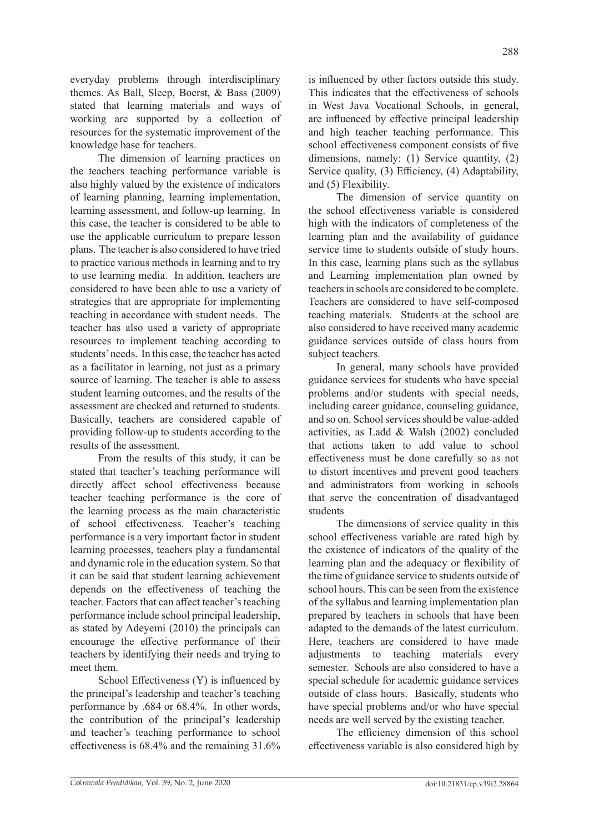everyday problems through interdisciplinary themes. As Ball, Sleep, Boerst, & Bass (2009) stated that learning materials and ways of working are supported by a collection of resources for the systematic improvement of the knowledge base for teachers.

The dimension of learning practices on the teachers teaching performance variable is also highly valued by the existence of indicators of learning planning, learning implementation, learning assessment, and follow-up learning. In this case, the teacher is considered to be able to use the applicable curriculum to prepare lesson plans. The teacher is also considered to have tried to practice various methods in learning and to try to use learning media. In addition, teachers are considered to have been able to use a variety of strategies that are appropriate for implementing teaching in accordance with student needs. The teacher has also used a variety of appropriate resources to implement teaching according to students' needs. In this case, the teacher has acted as a facilitator in learning, not just as a primary source of learning. The teacher is able to assess student learning outcomes, and the results of the assessment are checked and returned to students. Basically, teachers are considered capable of providing follow-up to students according to the results of the assessment.

From the results of this study, it can be stated that teacher's teaching performance will directly affect school effectiveness because teacher teaching performance is the core of the learning process as the main characteristic of school effectiveness. Teacher's teaching performance is a very important factor in student learning processes, teachers play a fundamental and dynamic role in the education system. So that it can be said that student learning achievement depends on the effectiveness of teaching the teacher. Factors that can affect teacher's teaching performance include school principal leadership, as stated by Adeyemi (2010) the principals can encourage the effective performance of their teachers by identifying their needs and trying to meet them.

School Effectiveness (Y) is influenced by the principal's leadership and teacher's teaching performance by .684 or 68.4%. In other words, the contribution of the principal's leadership and teacher's teaching performance to school effectiveness is 68.4% and the remaining 31.6%

is influenced by other factors outside this study. This indicates that the effectiveness of schools in West Java Vocational Schools, in general, are influenced by effective principal leadership and high teacher teaching performance. This school effectiveness component consists of five dimensions, namely: (1) Service quantity, (2) Service quality, (3) Efficiency, (4) Adaptability, and (5) Flexibility.

The dimension of service quantity on the school effectiveness variable is considered high with the indicators of completeness of the learning plan and the availability of guidance service time to students outside of study hours. In this case, learning plans such as the syllabus and Learning implementation plan owned by teachers in schools are considered to be complete. Teachers are considered to have self-composed teaching materials. Students at the school are also considered to have received many academic guidance services outside of class hours from subject teachers.

In general, many schools have provided guidance services for students who have special problems and/or students with special needs, including career guidance, counseling guidance, and so on. School services should be value-added activities, as Ladd & Walsh (2002) concluded that actions taken to add value to school effectiveness must be done carefully so as not to distort incentives and prevent good teachers and administrators from working in schools that serve the concentration of disadvantaged students

The dimensions of service quality in this school effectiveness variable are rated high by the existence of indicators of the quality of the learning plan and the adequacy or flexibility of the time of guidance service to students outside of school hours. This can be seen from the existence of the syllabus and learning implementation plan prepared by teachers in schools that have been adapted to the demands of the latest curriculum. Here, teachers are considered to have made adjustments to teaching materials every semester. Schools are also considered to have a special schedule for academic guidance services outside of class hours. Basically, students who have special problems and/or who have special needs are well served by the existing teacher.

The efficiency dimension of this school effectiveness variable is also considered high by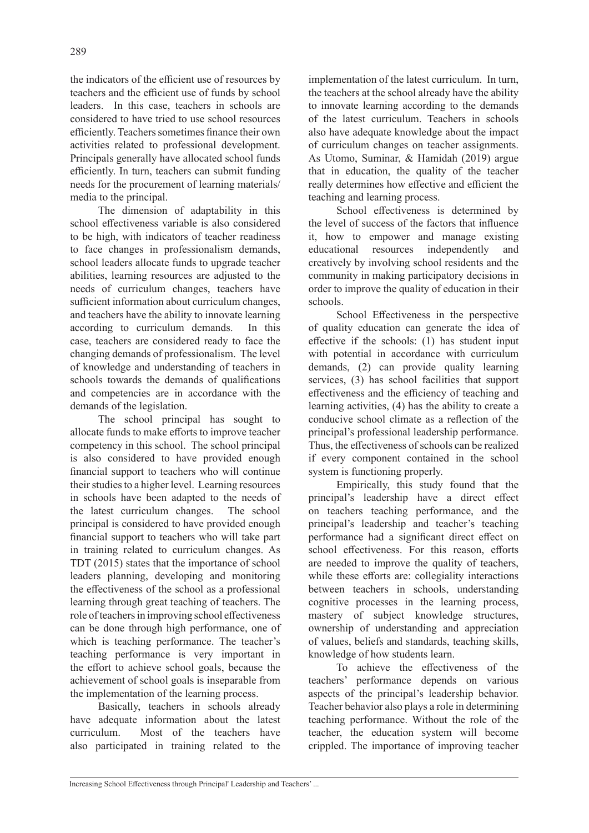the indicators of the efficient use of resources by teachers and the efficient use of funds by school leaders. In this case, teachers in schools are considered to have tried to use school resources efficiently. Teachers sometimes finance their own activities related to professional development. Principals generally have allocated school funds efficiently. In turn, teachers can submit funding needs for the procurement of learning materials/ media to the principal.

The dimension of adaptability in this school effectiveness variable is also considered to be high, with indicators of teacher readiness to face changes in professionalism demands, school leaders allocate funds to upgrade teacher abilities, learning resources are adjusted to the needs of curriculum changes, teachers have sufficient information about curriculum changes, and teachers have the ability to innovate learning according to curriculum demands. In this case, teachers are considered ready to face the changing demands of professionalism. The level of knowledge and understanding of teachers in schools towards the demands of qualifications and competencies are in accordance with the demands of the legislation.

The school principal has sought to allocate funds to make efforts to improve teacher competency in this school. The school principal is also considered to have provided enough financial support to teachers who will continue their studies to a higher level. Learning resources in schools have been adapted to the needs of the latest curriculum changes. The school principal is considered to have provided enough financial support to teachers who will take part in training related to curriculum changes. As TDT (2015) states that the importance of school leaders planning, developing and monitoring the effectiveness of the school as a professional learning through great teaching of teachers. The role of teachers in improving school effectiveness can be done through high performance, one of which is teaching performance. The teacher's teaching performance is very important in the effort to achieve school goals, because the achievement of school goals is inseparable from the implementation of the learning process.

Basically, teachers in schools already have adequate information about the latest curriculum. Most of the teachers have also participated in training related to the

implementation of the latest curriculum. In turn, the teachers at the school already have the ability to innovate learning according to the demands of the latest curriculum. Teachers in schools also have adequate knowledge about the impact of curriculum changes on teacher assignments. As Utomo, Suminar, & Hamidah (2019) argue that in education, the quality of the teacher really determines how effective and efficient the teaching and learning process.

School effectiveness is determined by the level of success of the factors that influence it, how to empower and manage existing educational resources independently and creatively by involving school residents and the community in making participatory decisions in order to improve the quality of education in their schools.

School Effectiveness in the perspective of quality education can generate the idea of effective if the schools: (1) has student input with potential in accordance with curriculum demands, (2) can provide quality learning services, (3) has school facilities that support effectiveness and the efficiency of teaching and learning activities, (4) has the ability to create a conducive school climate as a reflection of the principal's professional leadership performance. Thus, the effectiveness of schools can be realized if every component contained in the school system is functioning properly.

Empirically, this study found that the principal's leadership have a direct effect on teachers teaching performance, and the principal's leadership and teacher's teaching performance had a significant direct effect on school effectiveness. For this reason, efforts are needed to improve the quality of teachers, while these efforts are: collegiality interactions between teachers in schools, understanding cognitive processes in the learning process, mastery of subject knowledge structures, ownership of understanding and appreciation of values, beliefs and standards, teaching skills, knowledge of how students learn.

To achieve the effectiveness of the teachers' performance depends on various aspects of the principal's leadership behavior. Teacher behavior also plays a role in determining teaching performance. Without the role of the teacher, the education system will become crippled. The importance of improving teacher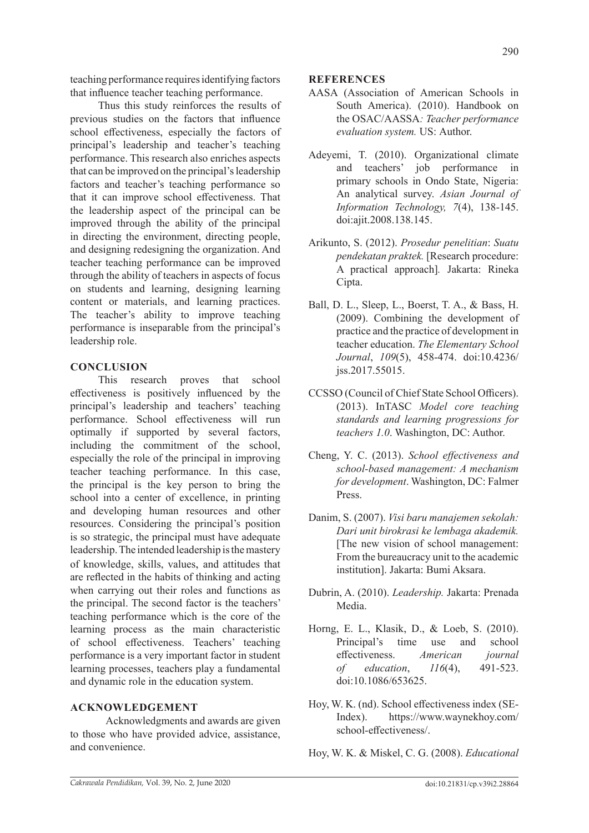teaching performance requires identifying factors that influence teacher teaching performance.

Thus this study reinforces the results of previous studies on the factors that influence school effectiveness, especially the factors of principal's leadership and teacher's teaching performance. This research also enriches aspects that can be improved on the principal's leadership factors and teacher's teaching performance so that it can improve school effectiveness. That the leadership aspect of the principal can be improved through the ability of the principal in directing the environment, directing people, and designing redesigning the organization. And teacher teaching performance can be improved through the ability of teachers in aspects of focus on students and learning, designing learning content or materials, and learning practices. The teacher's ability to improve teaching performance is inseparable from the principal's leadership role.

# **CONCLUSION**

This research proves that school effectiveness is positively influenced by the principal's leadership and teachers' teaching performance. School effectiveness will run optimally if supported by several factors, including the commitment of the school, especially the role of the principal in improving teacher teaching performance. In this case, the principal is the key person to bring the school into a center of excellence, in printing and developing human resources and other resources. Considering the principal's position is so strategic, the principal must have adequate leadership. The intended leadership is the mastery of knowledge, skills, values, and attitudes that are reflected in the habits of thinking and acting when carrying out their roles and functions as the principal. The second factor is the teachers' teaching performance which is the core of the learning process as the main characteristic of school effectiveness. Teachers' teaching performance is a very important factor in student learning processes, teachers play a fundamental and dynamic role in the education system.

## **ACKNOWLEDGEMENT**

Acknowledgments and awards are given to those who have provided advice, assistance, and convenience.

### **REFERENCES**

- AASA (Association of American Schools in South America). (2010). Handbook on the OSAC/AASSA*: Teacher performance evaluation system.* US: Author.
- Adeyemi, T. (2010). Organizational climate and teachers' job performance in primary schools in Ondo State, Nigeria: An analytical survey. *Asian Journal of Information Technology, 7*(4), 138-145. doi:ajit.2008.138.145.
- Arikunto, S. (2012). *Prosedur penelitian*: *Suatu pendekatan praktek.* [Research procedure: A practical approach]*.* Jakarta: Rineka Cipta.
- Ball, D. L., Sleep, L., Boerst, T. A., & Bass, H. (2009). Combining the development of practice and the practice of development in teacher education. *The Elementary School Journal*, *109*(5), 458-474. doi:10.4236/ jss.2017.55015.
- CCSSO (Council of Chief State School Officers). (2013). InTASC *Model core teaching standards and learning progressions for teachers 1.0*. Washington, DC: Author.
- Cheng, Y. C. (2013). *School effectiveness and school-based management: A mechanism for development*. Washington, DC: Falmer Press.
- Danim, S. (2007). *Visi baru manajemen sekolah: Dari unit birokrasi ke lembaga akademik.* [The new vision of school management: From the bureaucracy unit to the academic institution]. Jakarta: Bumi Aksara.
- Dubrin, A. (2010). *Leadership.* Jakarta: Prenada Media.
- Horng, E. L., Klasik, D., & Loeb, S. (2010). Principal's time use and school effectiveness. *American journal of education*, *116*(4), 491-523. doi:10.1086/653625.
- Hoy, W. K. (nd). School effectiveness index (SE-Index). https://www.waynekhoy.com/ school-effectiveness/.
- Hoy, W. K. & Miskel, C. G. (2008). *Educational*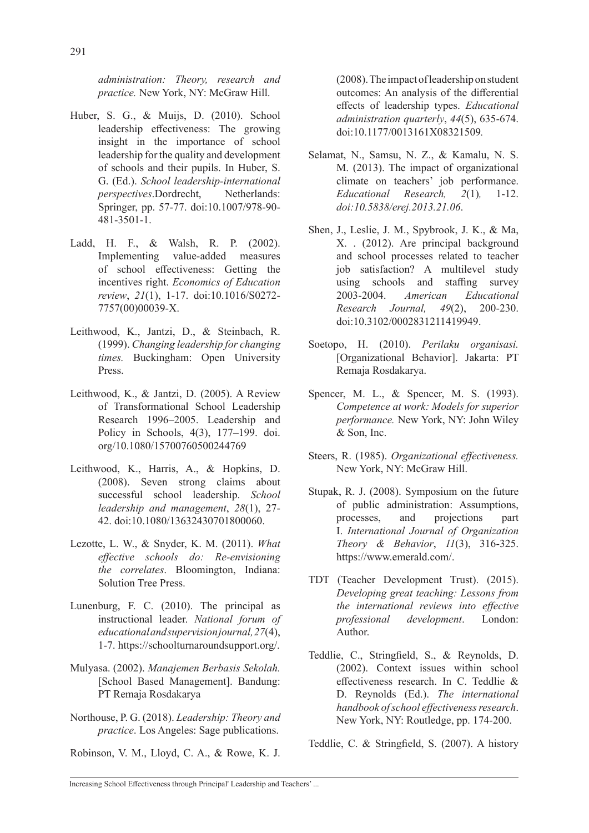*administration: Theory, research and practice.* New York, NY: McGraw Hill.

- Huber, S. G., & Muijs, D. (2010). School leadership effectiveness: The growing insight in the importance of school leadership for the quality and development of schools and their pupils. In Huber, S. G. (Ed.). *School leadership-international perspectives*.Dordrecht, Netherlands: Springer, pp. 57-77. doi:10.1007/978-90- 481-3501-1.
- Ladd, H. F., & Walsh, R. P. (2002). Implementing value-added measures of school effectiveness: Getting the incentives right. *Economics of Education review*, *21*(1), 1-17. doi:10.1016/S0272- 7757(00)00039-X.
- Leithwood, K., Jantzi, D., & Steinbach, R. (1999). *Changing leadership for changing times.* Buckingham: Open University Press.
- Leithwood, K., & Jantzi, D. (2005). A Review of Transformational School Leadership Research 1996–2005. Leadership and Policy in Schools, 4(3), 177–199. doi. org/10.1080/15700760500244769
- Leithwood, K., Harris, A., & Hopkins, D. (2008). Seven strong claims about successful school leadership. *School leadership and management*, *28*(1), 27- 42. doi:10.1080/13632430701800060.
- Lezotte, L. W., & Snyder, K. M. (2011). *What effective schools do: Re-envisioning the correlates*. Bloomington, Indiana: Solution Tree Press.
- Lunenburg, F. C. (2010). The principal as instructional leader. *National forum of educational and supervision journal,27*(4), 1-7. https://schoolturnaroundsupport.org/.
- Mulyasa. (2002). *Manajemen Berbasis Sekolah.* [School Based Management]. Bandung: PT Remaja Rosdakarya
- Northouse, P. G. (2018). *Leadership: Theory and practice*. Los Angeles: Sage publications.

Robinson, V. M., Lloyd, C. A., & Rowe, K. J.

(2008). The impact of leadership on student outcomes: An analysis of the differential effects of leadership types. *Educational administration quarterly*, *44*(5), 635-674. doi:10.1177/0013161X08321509*.*

- Selamat, N., Samsu, N. Z., & Kamalu, N. S. M. (2013). The impact of organizational climate on teachers' job performance. *Educational Research, 2*(1)*,* 1-12. *doi:10.5838/erej.2013.21.06*.
- Shen, J., Leslie, J. M., Spybrook, J. K., & Ma, X. . (2012). Are principal background and school processes related to teacher job satisfaction? A multilevel study using schools and staffing survey 2003-2004. *American Educational Research Journal, 49*(2), 200-230. doi:10.3102/0002831211419949.
- Soetopo, H. (2010). *Perilaku organisasi.* [Organizational Behavior]. Jakarta: PT Remaja Rosdakarya.
- Spencer, M. L., & Spencer, M. S. (1993). *Competence at work: Models for superior performance.* New York, NY: John Wiley & Son, Inc.
- Steers, R. (1985). *Organizational effectiveness.* New York, NY: McGraw Hill.
- Stupak, R. J. (2008). Symposium on the future of public administration: Assumptions, processes, and projections part I. *International Journal of Organization Theory & Behavior*, *11*(3), 316-325. https://www.emerald.com/.
- TDT (Teacher Development Trust). (2015). *Developing great teaching: Lessons from the international reviews into effective professional development*. London: Author.
- Teddlie, C., Stringfield, S., & Reynolds, D. (2002). Context issues within school effectiveness research. In C. Teddlie & D. Reynolds (Ed.). *The international handbook of school effectiveness research*. New York, NY: Routledge, pp. 174-200.

Teddlie, C. & Stringfield, S. (2007). A history